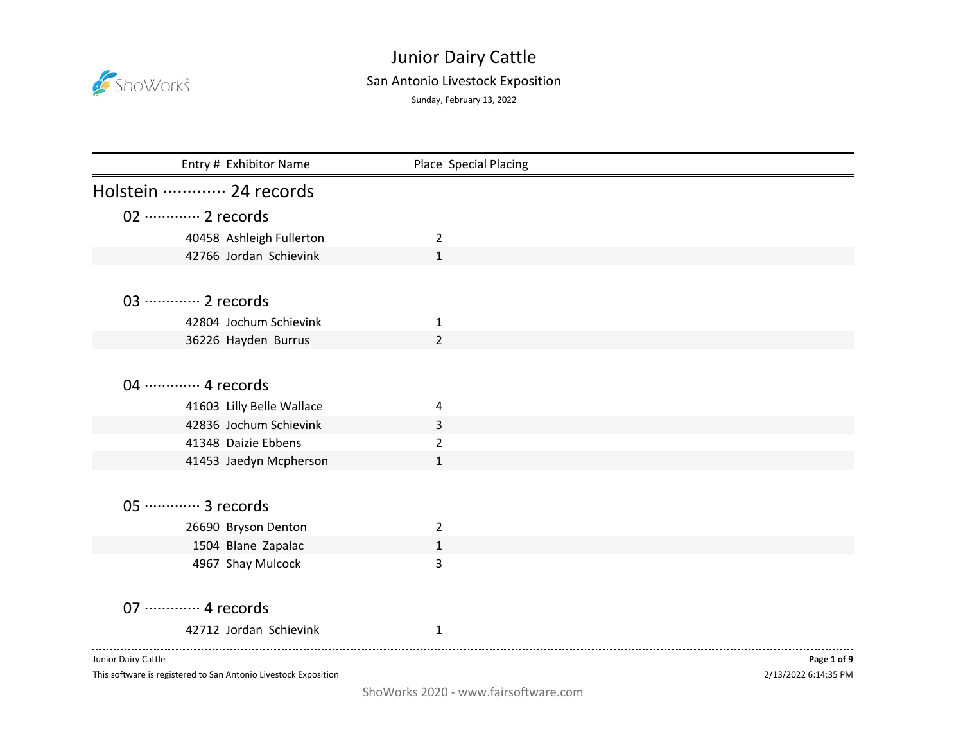

## Junior Dairy Cattle

## San Antonio Livestock Exposition

Sunday, February 13, 2022

| Entry # Exhibitor Name      | Place Special Placing |             |
|-----------------------------|-----------------------|-------------|
| Holstein  24 records        |                       |             |
| 02 ············· 2 records  |                       |             |
| 40458 Ashleigh Fullerton    | $\overline{2}$        |             |
| 42766 Jordan Schievink      | $\mathbf{1}$          |             |
|                             |                       |             |
| 03 ············· 2 records  |                       |             |
| 42804 Jochum Schievink      | 1                     |             |
| 36226 Hayden Burrus         | $\overline{2}$        |             |
|                             |                       |             |
| 04 ············· 4 records  |                       |             |
| 41603 Lilly Belle Wallace   | 4                     |             |
| 42836 Jochum Schievink      | 3                     |             |
| 41348 Daizie Ebbens         | $\overline{2}$        |             |
| 41453 Jaedyn Mcpherson      | 1                     |             |
|                             |                       |             |
| 05 ·············· 3 records |                       |             |
| 26690 Bryson Denton         | $\overline{2}$        |             |
| 1504 Blane Zapalac          | $\mathbf{1}$          |             |
| 4967 Shay Mulcock           | 3                     |             |
|                             |                       |             |
| 07 ············· 4 records  |                       |             |
| 42712 Jordan Schievink      | $\mathbf{1}$          |             |
|                             |                       |             |
| Junior Dairy Cattle         |                       | Page 1 of 9 |

Junior Dairy Cattle

This software is registered to San Antonio Livestock Exposition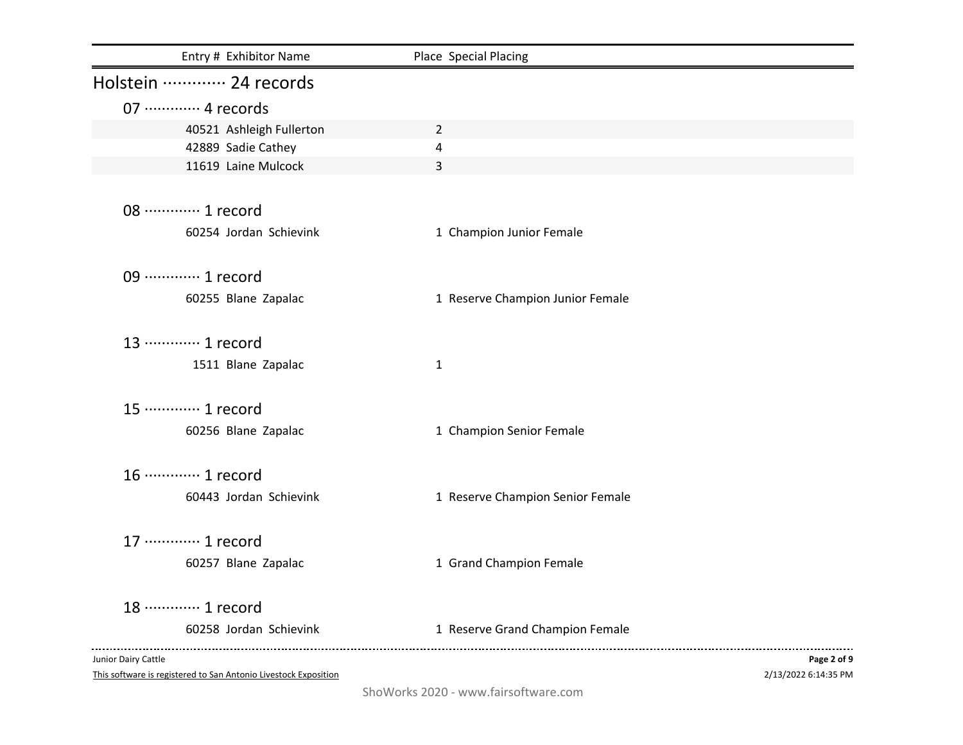| Entry # Exhibitor Name     | Place Special Placing            |             |
|----------------------------|----------------------------------|-------------|
| Holstein  24 records       |                                  |             |
| 07 ············· 4 records |                                  |             |
| 40521 Ashleigh Fullerton   | $\overline{2}$                   |             |
| 42889 Sadie Cathey         | 4                                |             |
| 11619 Laine Mulcock        | $\overline{3}$                   |             |
|                            |                                  |             |
| 08 ············· 1 record  |                                  |             |
| 60254 Jordan Schievink     | 1 Champion Junior Female         |             |
|                            |                                  |             |
| 09 ············· 1 record  |                                  |             |
| 60255 Blane Zapalac        | 1 Reserve Champion Junior Female |             |
|                            |                                  |             |
| 13 ………… 1 record           |                                  |             |
| 1511 Blane Zapalac         | $\mathbf{1}$                     |             |
|                            |                                  |             |
| 15 ············· 1 record  |                                  |             |
| 60256 Blane Zapalac        | 1 Champion Senior Female         |             |
|                            |                                  |             |
| 16 ············· 1 record  |                                  |             |
| 60443 Jordan Schievink     | 1 Reserve Champion Senior Female |             |
|                            |                                  |             |
| 17 ············· 1 record  |                                  |             |
| 60257 Blane Zapalac        | 1 Grand Champion Female          |             |
|                            |                                  |             |
| 18 ………… 1 record           |                                  |             |
| 60258 Jordan Schievink     | 1 Reserve Grand Champion Female  |             |
|                            |                                  |             |
| Junior Dairy Cattle        |                                  | Page 2 of 9 |

This software is registered to San Antonio Livestock Exposition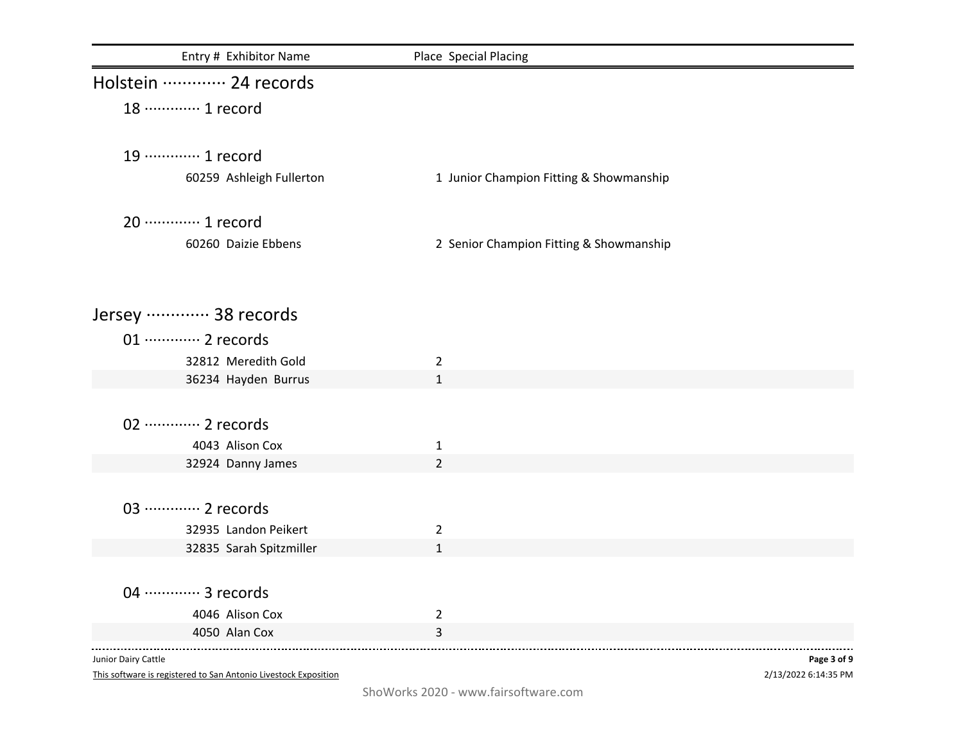| Entry # Exhibitor Name               | Place Special Placing                   |             |
|--------------------------------------|-----------------------------------------|-------------|
| Holstein  24 records                 |                                         |             |
| 18 ············· 1 record            |                                         |             |
|                                      |                                         |             |
| 19 ············· 1 record            |                                         |             |
| 60259 Ashleigh Fullerton             | 1 Junior Champion Fitting & Showmanship |             |
| 20 ············· 1 record            |                                         |             |
| 60260 Daizie Ebbens                  | 2 Senior Champion Fitting & Showmanship |             |
|                                      |                                         |             |
| Jersey  38 records                   |                                         |             |
| 01 ············· 2 records           |                                         |             |
| 32812 Meredith Gold                  | $\overline{2}$                          |             |
| 36234 Hayden Burrus                  | $\mathbf{1}$                            |             |
| 02 ············· 2 records           |                                         |             |
|                                      |                                         |             |
| 4043 Alison Cox<br>32924 Danny James | $\mathbf{1}$<br>$\overline{2}$          |             |
|                                      |                                         |             |
| 03 ············· 2 records           |                                         |             |
| 32935 Landon Peikert                 | $\overline{2}$                          |             |
| 32835 Sarah Spitzmiller              | $\mathbf{1}$                            |             |
|                                      |                                         |             |
| 04 ………… 3 records                    |                                         |             |
| 4046 Alison Cox                      | $\overline{2}$                          |             |
| 4050 Alan Cox                        | 3                                       |             |
| Junior Dairy Cattle                  |                                         | Page 3 of 9 |

This software is registered to San Antonio Livestock Exposition

2/13/2022 6:14:35 PM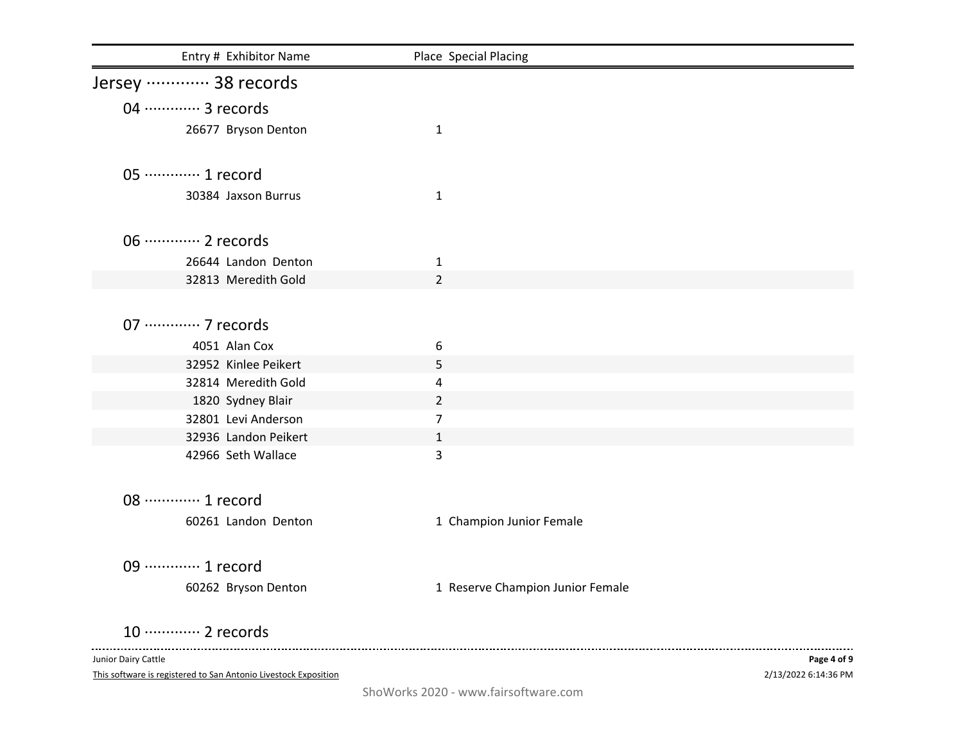| Entry # Exhibitor Name                     | Place Special Placing            |             |
|--------------------------------------------|----------------------------------|-------------|
| Jersey  38 records                         |                                  |             |
| 04 ………… 3 records                          |                                  |             |
| 26677 Bryson Denton                        | $\mathbf{1}$                     |             |
| 05 ············· 1 record                  |                                  |             |
| 30384 Jaxson Burrus                        | $\mathbf{1}$                     |             |
| 06 ············· 2 records                 |                                  |             |
| 26644 Landon Denton                        | $\mathbf{1}$                     |             |
| 32813 Meredith Gold                        | $\overline{2}$                   |             |
|                                            |                                  |             |
| 07 ·············· 7 records                |                                  |             |
| 4051 Alan Cox                              | 6                                |             |
| 32952 Kinlee Peikert                       | 5                                |             |
| 32814 Meredith Gold                        | 4                                |             |
| 1820 Sydney Blair                          | 2                                |             |
| 32801 Levi Anderson                        | $\overline{7}$                   |             |
| 32936 Landon Peikert<br>42966 Seth Wallace | $\mathbf{1}$<br>3                |             |
|                                            |                                  |             |
| 08 ············· 1 record                  |                                  |             |
| 60261 Landon Denton                        | 1 Champion Junior Female         |             |
| 09 ·············· 1 record                 |                                  |             |
| 60262 Bryson Denton                        | 1 Reserve Champion Junior Female |             |
| 10 ············· 2 records                 |                                  |             |
| Junior Dairy Cattle                        |                                  | Page 4 of 9 |

This software is registered to San Antonio Livestock Exposition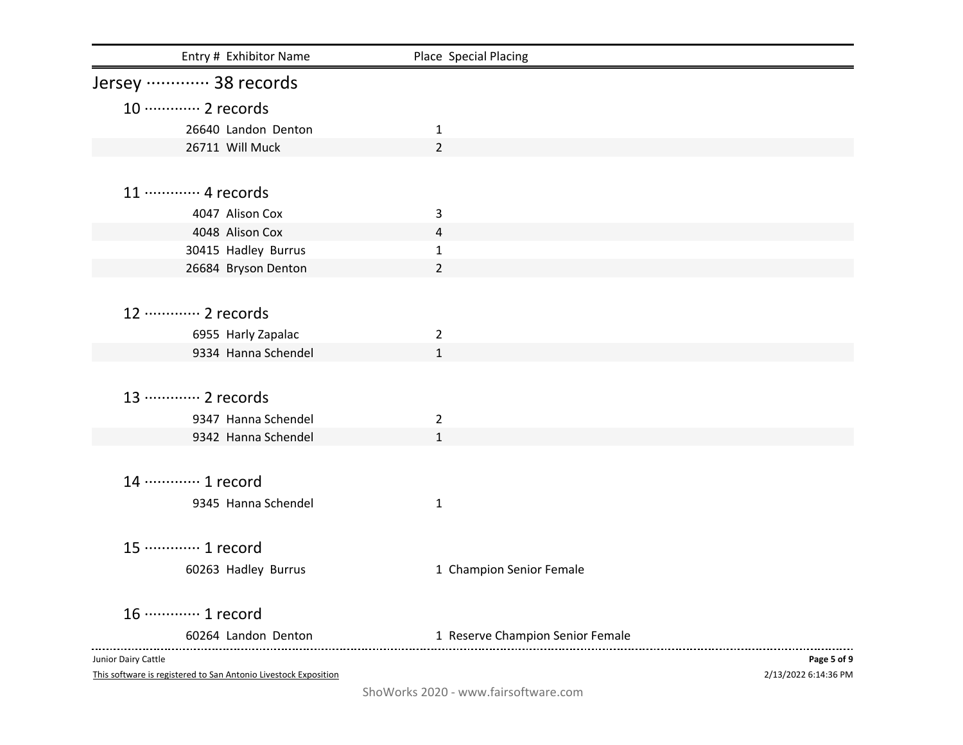| Entry # Exhibitor Name                                          | Place Special Placing            |                      |
|-----------------------------------------------------------------|----------------------------------|----------------------|
| Jersey  38 records                                              |                                  |                      |
| 10 ············· 2 records                                      |                                  |                      |
| 26640 Landon Denton                                             | 1                                |                      |
| 26711 Will Muck                                                 | $\overline{2}$                   |                      |
|                                                                 |                                  |                      |
| 11 ………… 4 records                                               |                                  |                      |
| 4047 Alison Cox                                                 | 3                                |                      |
| 4048 Alison Cox                                                 | 4                                |                      |
| 30415 Hadley Burrus                                             | 1                                |                      |
| 26684 Bryson Denton                                             | $\overline{2}$                   |                      |
|                                                                 |                                  |                      |
| 12 ………… 2 records                                               |                                  |                      |
| 6955 Harly Zapalac                                              | $\overline{2}$                   |                      |
| 9334 Hanna Schendel                                             | $\mathbf{1}$                     |                      |
|                                                                 |                                  |                      |
| 13 ………… 2 records                                               |                                  |                      |
| 9347 Hanna Schendel                                             | $\overline{2}$                   |                      |
| 9342 Hanna Schendel                                             | $\mathbf{1}$                     |                      |
|                                                                 |                                  |                      |
| 14 ………… 1 record                                                |                                  |                      |
| 9345 Hanna Schendel                                             | $\mathbf{1}$                     |                      |
|                                                                 |                                  |                      |
|                                                                 |                                  |                      |
| 15 ············· 1 record                                       |                                  |                      |
| 60263 Hadley Burrus                                             | 1 Champion Senior Female         |                      |
| 16 ············· 1 record                                       |                                  |                      |
| 60264 Landon Denton                                             | 1 Reserve Champion Senior Female |                      |
| Junior Dairy Cattle                                             |                                  | Page 5 of 9          |
| This software is registered to San Antonio Livestock Exposition |                                  | 2/13/2022 6:14:36 PM |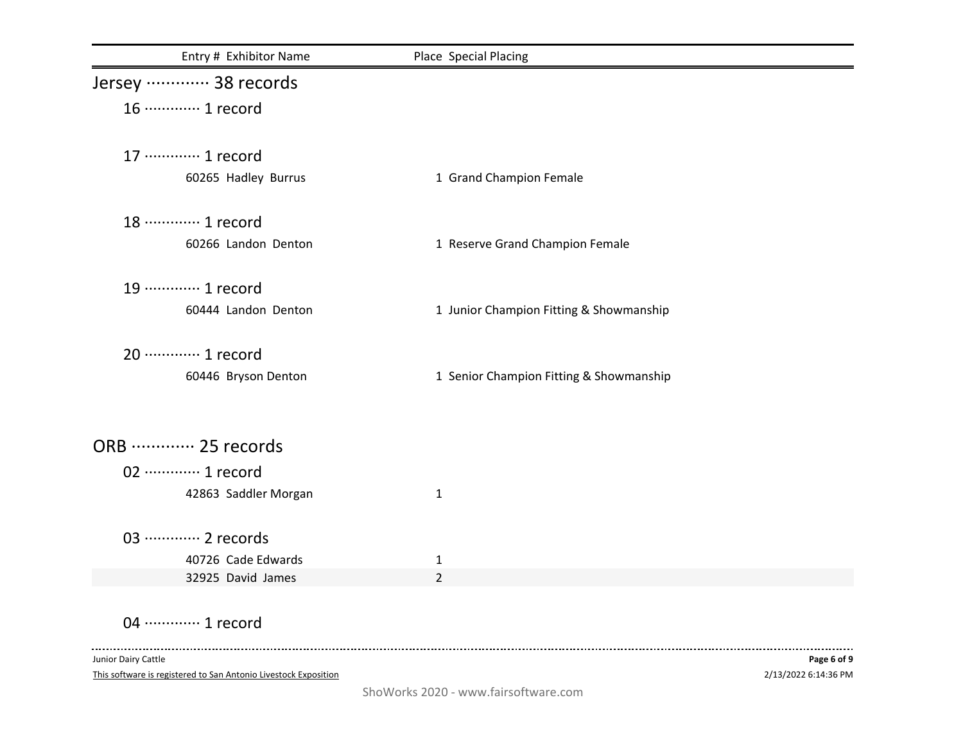| Entry # Exhibitor Name     | Place Special Placing                   |
|----------------------------|-----------------------------------------|
| Jersey  38 records         |                                         |
| 16 ············· 1 record  |                                         |
| 17 ············· 1 record  |                                         |
| 60265 Hadley Burrus        | 1 Grand Champion Female                 |
| 18 ………… 1 record           |                                         |
| 60266 Landon Denton        | 1 Reserve Grand Champion Female         |
| 19 ············· 1 record  |                                         |
| 60444 Landon Denton        | 1 Junior Champion Fitting & Showmanship |
| 20 ············· 1 record  |                                         |
| 60446 Bryson Denton        | 1 Senior Champion Fitting & Showmanship |
|                            |                                         |
| ORB  25 records            |                                         |
| 02 ············· 1 record  |                                         |
| 42863 Saddler Morgan       | $\mathbf{1}$                            |
| 03 ············· 2 records |                                         |
| 40726 Cade Edwards         | 1                                       |
| 32925 David James          | $\overline{2}$                          |

04 ·············· 1 record

--------------------------

This software is registered to San Antonio Livestock Exposition Junior Dairy Cattle

. . . . . . .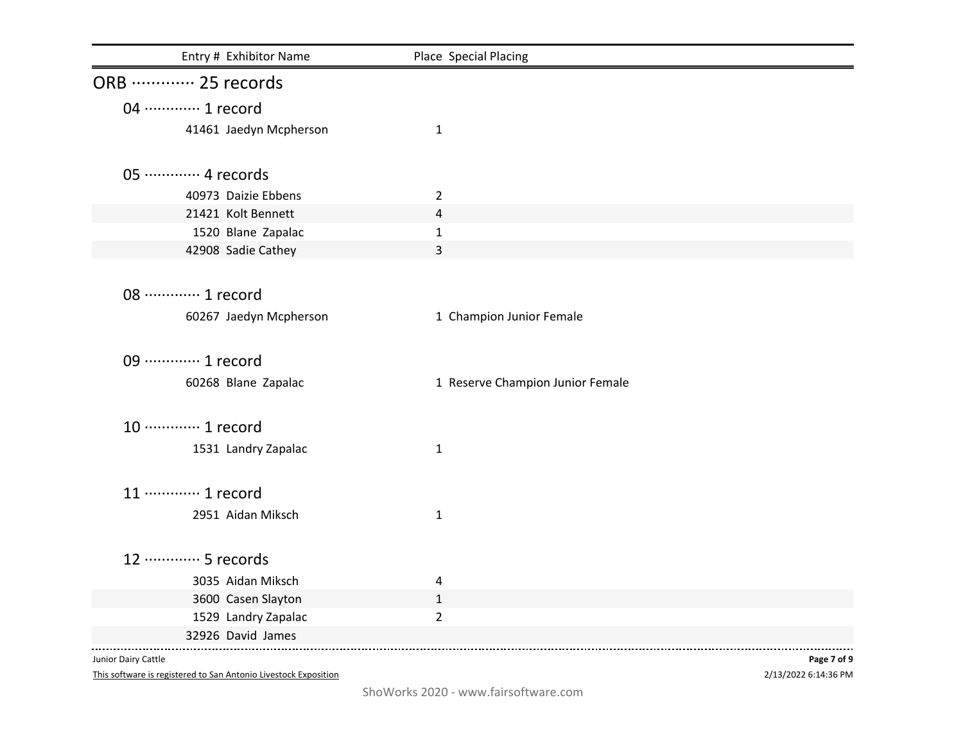| Entry # Exhibitor Name     | Place Special Placing            |
|----------------------------|----------------------------------|
| ORB  25 records            |                                  |
| 04 ………… 1 record           |                                  |
| 41461 Jaedyn Mcpherson     | $\mathbf{1}$                     |
| 05 ············· 4 records |                                  |
|                            |                                  |
| 40973 Daizie Ebbens        | $\overline{2}$                   |
| 21421 Kolt Bennett         | 4                                |
| 1520 Blane Zapalac         | $\mathbf{1}$                     |
| 42908 Sadie Cathey         | 3                                |
| 08 ············· 1 record  |                                  |
|                            |                                  |
| 60267 Jaedyn Mcpherson     | 1 Champion Junior Female         |
| 09 ·············· 1 record |                                  |
| 60268 Blane Zapalac        | 1 Reserve Champion Junior Female |
| 10 ············· 1 record  |                                  |
| 1531 Landry Zapalac        | $\mathbf{1}$                     |
|                            |                                  |
| 11 ············· 1 record  |                                  |
| 2951 Aidan Miksch          | $\mathbf{1}$                     |
|                            |                                  |
| 12 ………… 5 records          |                                  |
| 3035 Aidan Miksch          | 4                                |
| 3600 Casen Slayton         | $\mathbf{1}$                     |
| 1529 Landry Zapalac        | $\overline{2}$                   |
| 32926 David James          |                                  |

Junior Dairy Cattle

This software is registered to San Antonio Livestock Exposition

2/13/2022 6:14:36 PM **Page 7 of 9**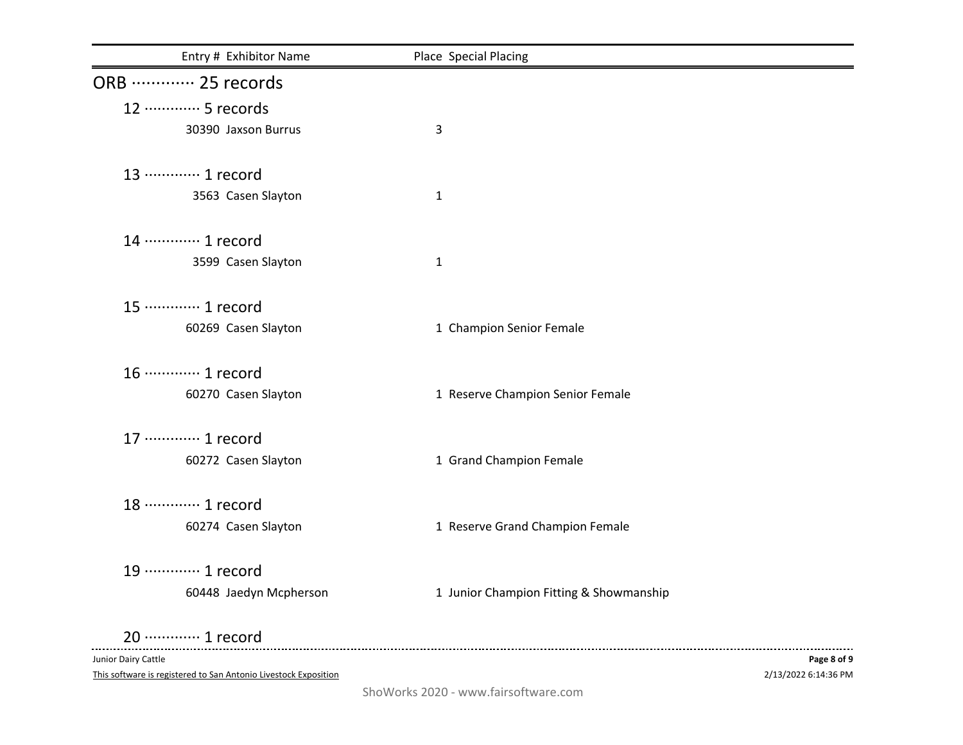| Entry # Exhibitor Name    | Place Special Placing                   |
|---------------------------|-----------------------------------------|
| ORB  25 records           |                                         |
| 12 ………… 5 records         |                                         |
| 30390 Jaxson Burrus       | 3                                       |
| 13 ………… 1 record          |                                         |
| 3563 Casen Slayton        | $\mathbf{1}$                            |
| 14 ………… 1 record          |                                         |
| 3599 Casen Slayton        | $\mathbf{1}$                            |
| 15 ············· 1 record |                                         |
| 60269 Casen Slayton       | 1 Champion Senior Female                |
| 16 ············· 1 record |                                         |
| 60270 Casen Slayton       | 1 Reserve Champion Senior Female        |
| 17 ············· 1 record |                                         |
| 60272 Casen Slayton       | 1 Grand Champion Female                 |
| 18 ………… 1 record          |                                         |
| 60274 Casen Slayton       | 1 Reserve Grand Champion Female         |
| 19 ………… 1 record          |                                         |
| 60448 Jaedyn Mcpherson    | 1 Junior Champion Fitting & Showmanship |
| 20 ············· 1 record |                                         |

Junior Dairy Cattle

This software is registered to San Antonio Livestock Exposition